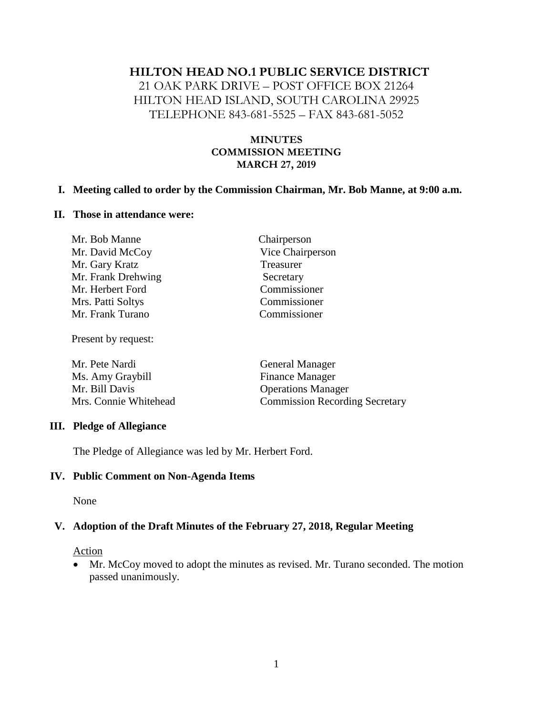# **HILTON HEAD NO.1 PUBLIC SERVICE DISTRICT**

21 OAK PARK DRIVE – POST OFFICE BOX 21264 HILTON HEAD ISLAND, SOUTH CAROLINA 29925 TELEPHONE 843-681-5525 – FAX 843-681-5052

### **MINUTES COMMISSION MEETING MARCH 27, 2019**

#### **I. Meeting called to order by the Commission Chairman, Mr. Bob Manne, at 9:00 a.m.**

#### **II. Those in attendance were:**

| Chairperson      |
|------------------|
| Vice Chairperson |
| Treasurer        |
| Secretary        |
| Commissioner     |
| Commissioner     |
| Commissioner     |
|                  |

Present by request:

| Mr. Pete Nardi        | <b>General Manager</b>                |
|-----------------------|---------------------------------------|
| Ms. Amy Graybill      | <b>Finance Manager</b>                |
| Mr. Bill Davis        | <b>Operations Manager</b>             |
| Mrs. Connie Whitehead | <b>Commission Recording Secretary</b> |

### **III. Pledge of Allegiance**

The Pledge of Allegiance was led by Mr. Herbert Ford.

### **IV. Public Comment on Non-Agenda Items**

None

## **V. Adoption of the Draft Minutes of the February 27, 2018, Regular Meeting**

#### **Action**

• Mr. McCoy moved to adopt the minutes as revised. Mr. Turano seconded. The motion passed unanimously.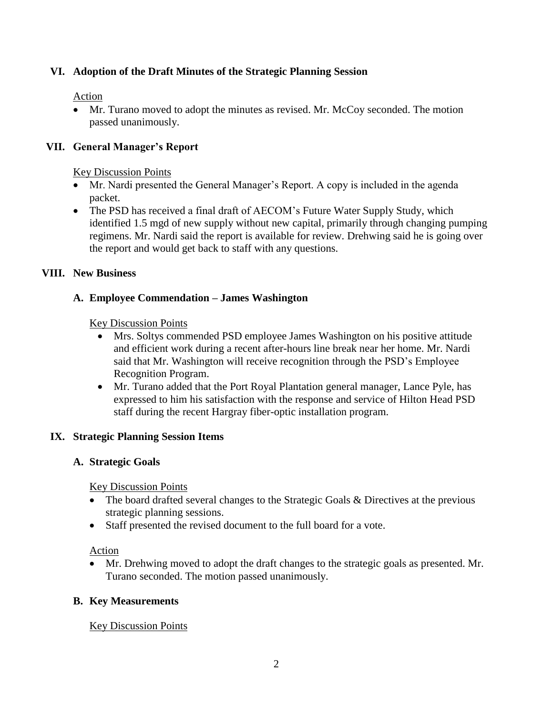## **VI. Adoption of the Draft Minutes of the Strategic Planning Session**

## Action

• Mr. Turano moved to adopt the minutes as revised. Mr. McCoy seconded. The motion passed unanimously.

# **VII. General Manager's Report**

### Key Discussion Points

- Mr. Nardi presented the General Manager's Report. A copy is included in the agenda packet.
- The PSD has received a final draft of AECOM's Future Water Supply Study, which identified 1.5 mgd of new supply without new capital, primarily through changing pumping regimens. Mr. Nardi said the report is available for review. Drehwing said he is going over the report and would get back to staff with any questions.

## **VIII. New Business**

## **A. Employee Commendation – James Washington**

Key Discussion Points

- Mrs. Soltys commended PSD employee James Washington on his positive attitude and efficient work during a recent after-hours line break near her home. Mr. Nardi said that Mr. Washington will receive recognition through the PSD's Employee Recognition Program.
- Mr. Turano added that the Port Royal Plantation general manager, Lance Pyle, has expressed to him his satisfaction with the response and service of Hilton Head PSD staff during the recent Hargray fiber-optic installation program.

## **IX. Strategic Planning Session Items**

## **A. Strategic Goals**

Key Discussion Points

- The board drafted several changes to the Strategic Goals & Directives at the previous strategic planning sessions.
- Staff presented the revised document to the full board for a vote.

## Action

• Mr. Drehwing moved to adopt the draft changes to the strategic goals as presented. Mr. Turano seconded. The motion passed unanimously.

## **B. Key Measurements**

## Key Discussion Points